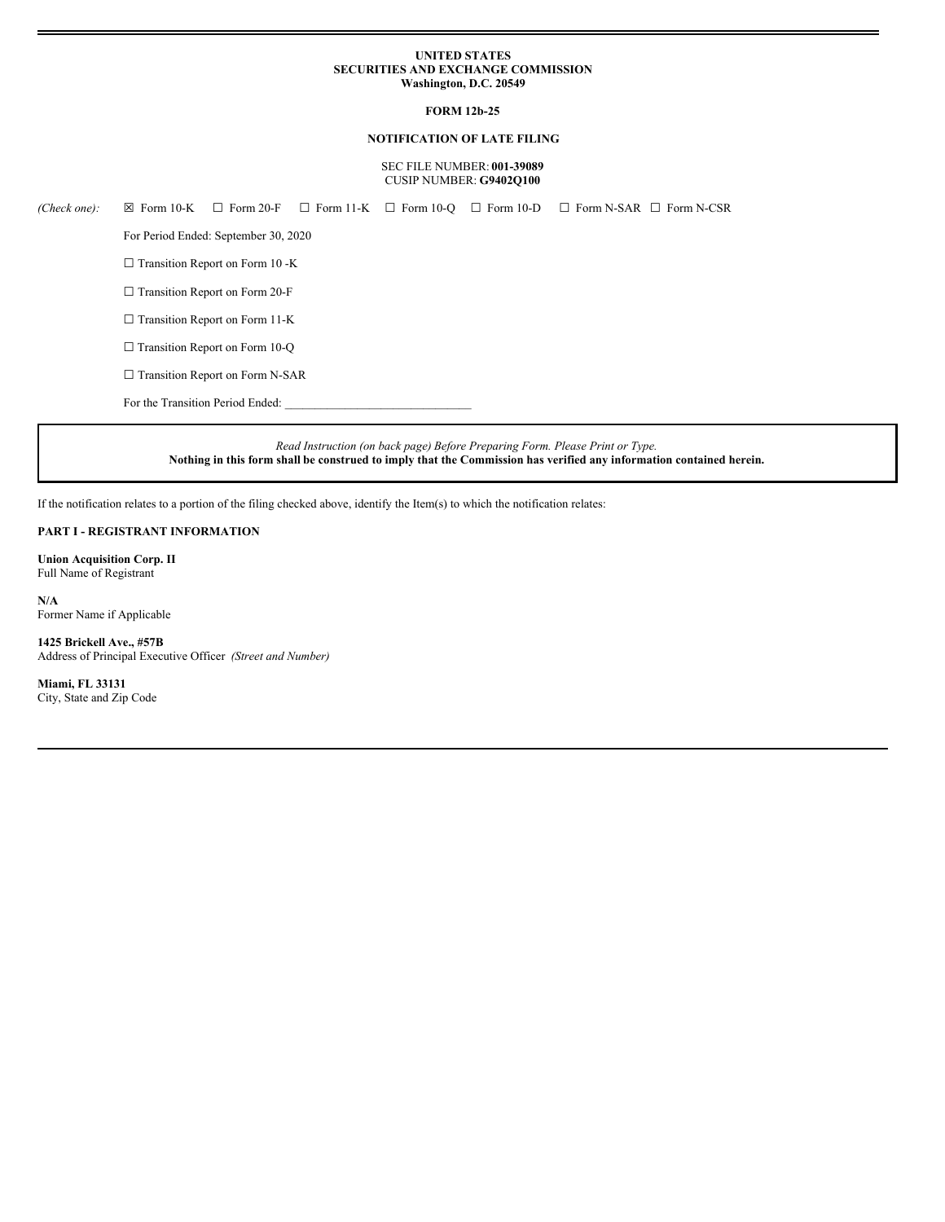### **UNITED STATES SECURITIES AND EXCHANGE COMMISSION Washington, D.C. 20549**

### **FORM 12b-25**

### **NOTIFICATION OF LATE FILING**

#### SEC FILE NUMBER: **001-39089** CUSIP NUMBER: **G9402Q100**

| (Check one): | $\boxtimes$ Form 10-K                  | $\Box$ Form 20-F                       |  |  |  | $\Box$ Form 11-K $\Box$ Form 10-O $\Box$ Form 10-D $\Box$ Form N-SAR $\Box$ Form N-CSR |  |
|--------------|----------------------------------------|----------------------------------------|--|--|--|----------------------------------------------------------------------------------------|--|
|              | For Period Ended: September 30, 2020   |                                        |  |  |  |                                                                                        |  |
|              | $\Box$ Transition Report on Form 10 -K |                                        |  |  |  |                                                                                        |  |
|              |                                        | $\Box$ Transition Report on Form 20-F  |  |  |  |                                                                                        |  |
|              |                                        | $\Box$ Transition Report on Form 11-K  |  |  |  |                                                                                        |  |
|              |                                        | $\Box$ Transition Report on Form 10-Q  |  |  |  |                                                                                        |  |
|              |                                        | $\Box$ Transition Report on Form N-SAR |  |  |  |                                                                                        |  |
|              | For the Transition Period Ended:       |                                        |  |  |  |                                                                                        |  |

*Read Instruction (on back page) Before Preparing Form. Please Print or Type.* Nothing in this form shall be construed to imply that the Commission has verified any information contained herein.

If the notification relates to a portion of the filing checked above, identify the Item(s) to which the notification relates:

# **PART I - REGISTRANT INFORMATION**

**Union Acquisition Corp. II** Full Name of Registrant

**N/A** Former Name if Applicable

**1425 Brickell Ave., #57B** Address of Principal Executive Officer *(Street and Number)*

**Miami, FL 33131** City, State and Zip Code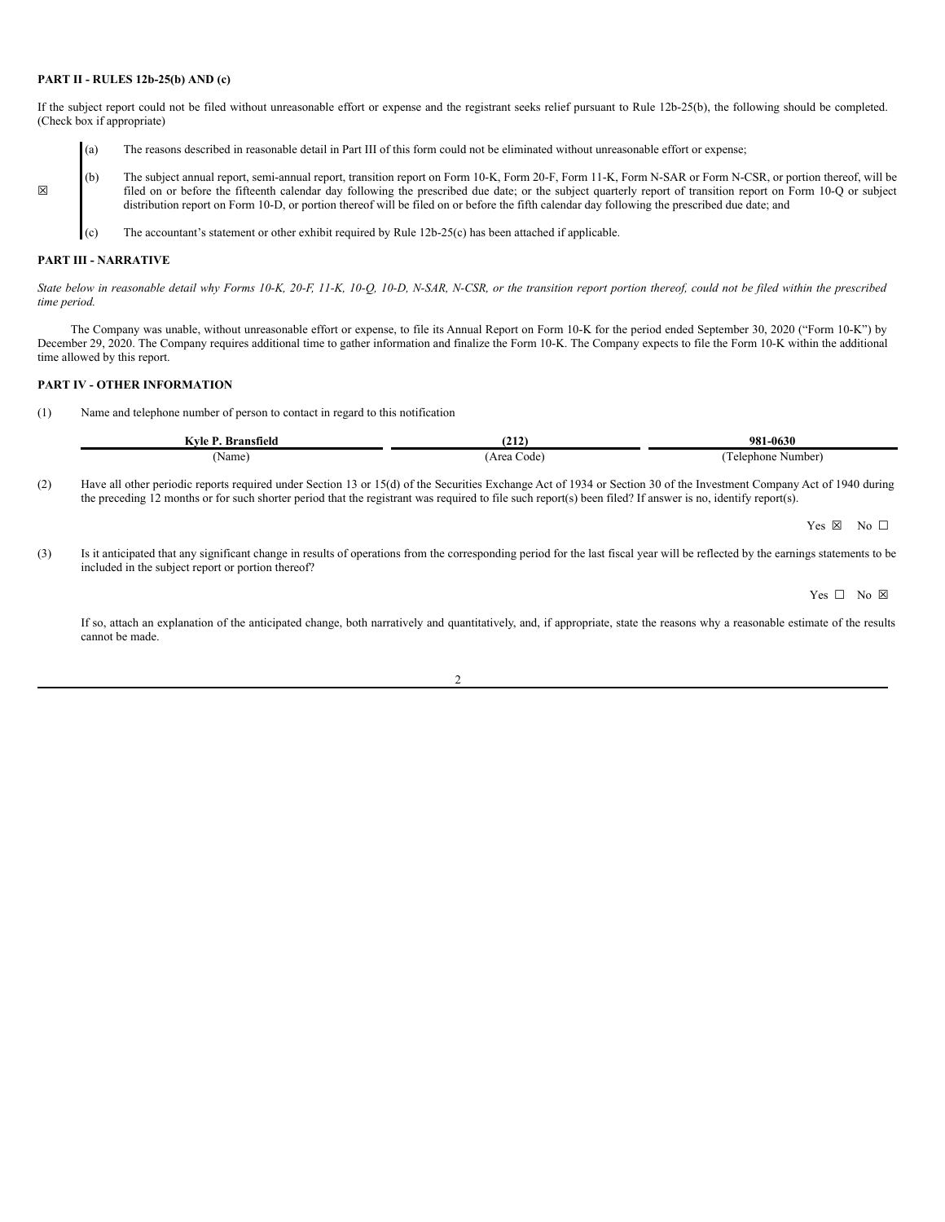### **PART II - RULES 12b-25(b) AND (c)**

If the subject report could not be filed without unreasonable effort or expense and the registrant seeks relief pursuant to Rule 12b-25(b), the following should be completed. (Check box if appropriate)

- (a) The reasons described in reasonable detail in Part III of this form could not be eliminated without unreasonable effort or expense;
- (b) The subject annual report, semi-annual report, transition report on Form 10-K, Form 20-F, Form 11-K, Form N-SAR or Form N-CSR, or portion thereof, will be filed on or before the fifteenth calendar day following the prescribed due date; or the subject quarterly report of transition report on Form 10-Q or subject distribution report on Form 10-D, or portion thereof will be filed on or before the fifth calendar day following the prescribed due date; and
	- (c) The accountant's statement or other exhibit required by Rule 12b-25(c) has been attached if applicable.

#### **PART III - NARRATIVE**

☒

State below in reasonable detail why Forms 10-K, 20-F, 11-K, 10-Q, 10-D, N-SAR, N-CSR, or the transition report portion thereof, could not be filed within the prescribed *time period.*

The Company was unable, without unreasonable effort or expense, to file its Annual Report on Form 10-K for the period ended September 30, 2020 ("Form 10-K") by December 29, 2020. The Company requires additional time to gather information and finalize the Form 10-K. The Company expects to file the Form 10-K within the additional time allowed by this report.

## **PART IV - OTHER INFORMATION**

(1) Name and telephone number of person to contact in regard to this notification

| $\triangledown$ vle P.<br>Bransfield | $\sqrt{2}$<br>14 L | 981-0630             |
|--------------------------------------|--------------------|----------------------|
| 'Name                                | Aroo<br>code<br>.  | Number]<br>Telephone |

(2) Have all other periodic reports required under Section 13 or 15(d) of the Securities Exchange Act of 1934 or Section 30 of the Investment Company Act of 1940 during the preceding 12 months or for such shorter period that the registrant was required to file such report(s) been filed? If answer is no, identify report(s).

Yes  $\boxtimes$  No  $\Box$ 

(3) Is it anticipated that any significant change in results of operations from the corresponding period for the last fiscal year will be reflected by the earnings statements to be included in the subject report or portion thereof?

Yes □ No ⊠

If so, attach an explanation of the anticipated change, both narratively and quantitatively, and, if appropriate, state the reasons why a reasonable estimate of the results cannot be made.